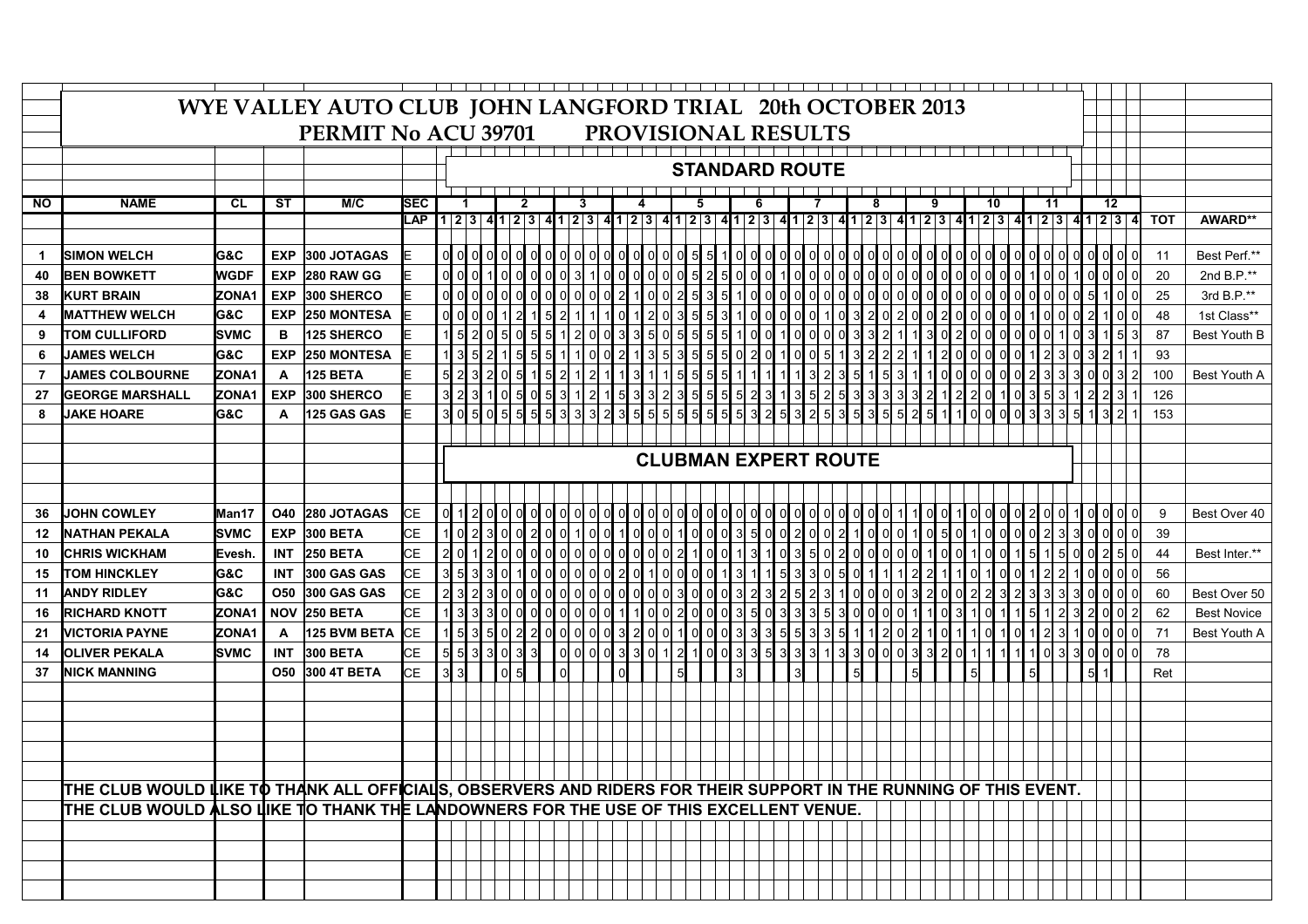|                | WYE VALLEY AUTO CLUB JOHN LANGFORD TRIAL 20th OCTOBER 2013                                                       |                |              |                                                   |            |  |                         |                |                                 |                          |                                                                                                |                        |  |                |                                                                                                                                                                                                                                 |                |                                             |       |                |                                                                        |   |                                                                        |                 |              |                             |                 |                |                                                                                           |     |              |      |                |              |                                                                        |   |                                                                        |                |            |                    |  |
|----------------|------------------------------------------------------------------------------------------------------------------|----------------|--------------|---------------------------------------------------|------------|--|-------------------------|----------------|---------------------------------|--------------------------|------------------------------------------------------------------------------------------------|------------------------|--|----------------|---------------------------------------------------------------------------------------------------------------------------------------------------------------------------------------------------------------------------------|----------------|---------------------------------------------|-------|----------------|------------------------------------------------------------------------|---|------------------------------------------------------------------------|-----------------|--------------|-----------------------------|-----------------|----------------|-------------------------------------------------------------------------------------------|-----|--------------|------|----------------|--------------|------------------------------------------------------------------------|---|------------------------------------------------------------------------|----------------|------------|--------------------|--|
|                |                                                                                                                  |                |              | PERMIT No ACU 39701<br><b>PROVISIONAL RESULTS</b> |            |  |                         |                |                                 |                          |                                                                                                |                        |  |                |                                                                                                                                                                                                                                 |                |                                             |       |                |                                                                        |   |                                                                        |                 |              |                             |                 |                |                                                                                           |     |              |      |                |              |                                                                        |   |                                                                        |                |            |                    |  |
|                |                                                                                                                  |                |              |                                                   |            |  |                         |                |                                 |                          |                                                                                                |                        |  |                |                                                                                                                                                                                                                                 |                |                                             |       |                |                                                                        |   |                                                                        |                 |              |                             |                 |                |                                                                                           |     |              |      |                |              |                                                                        |   |                                                                        |                |            |                    |  |
|                |                                                                                                                  |                |              |                                                   |            |  |                         |                |                                 |                          |                                                                                                |                        |  |                |                                                                                                                                                                                                                                 |                |                                             |       |                |                                                                        |   |                                                                        |                 |              |                             |                 |                |                                                                                           |     |              |      |                |              |                                                                        |   |                                                                        |                |            |                    |  |
|                |                                                                                                                  |                |              |                                                   |            |  |                         |                |                                 |                          |                                                                                                |                        |  |                |                                                                                                                                                                                                                                 |                | <b>STANDARD ROUTE</b>                       |       |                |                                                                        |   |                                                                        |                 |              |                             |                 |                |                                                                                           |     |              |      |                |              |                                                                        |   |                                                                        |                |            |                    |  |
| <b>NO</b>      | <b>NAME</b>                                                                                                      | <b>CL</b>      | <b>ST</b>    | M/C                                               | <b>SEC</b> |  | $\blacktriangleleft$    |                |                                 | $\mathbf{2}$             |                                                                                                |                        |  |                |                                                                                                                                                                                                                                 |                |                                             | 5     |                | 6                                                                      |   |                                                                        |                 |              |                             | 8               |                | 9                                                                                         |     |              |      | 10             |              | 11                                                                     |   | 12                                                                     |                |            |                    |  |
|                |                                                                                                                  |                |              |                                                   | <b>LAP</b> |  |                         |                | 1 2 3 4 1 2 3 4 1 2 3           |                          |                                                                                                |                        |  |                | $412341234123$ 4 $1234123412341234123$ 4 $123412341234123$                                                                                                                                                                      |                |                                             |       |                |                                                                        |   |                                                                        |                 |              |                             |                 |                |                                                                                           |     |              |      |                |              |                                                                        |   |                                                                        | 4              | <b>TOT</b> | AWARD**            |  |
|                |                                                                                                                  |                |              |                                                   |            |  |                         |                |                                 |                          |                                                                                                |                        |  |                |                                                                                                                                                                                                                                 |                |                                             |       |                |                                                                        |   |                                                                        |                 |              |                             |                 |                |                                                                                           |     |              |      |                |              |                                                                        |   |                                                                        |                |            |                    |  |
| $\mathbf 1$    | <b>SIMON WELCH</b>                                                                                               | <b>G&amp;C</b> | <b>EXP</b>   | 300 JOTAGAS                                       |            |  | $\circ$ $\circ$ $\circ$ |                | $0$ $0$ $0$ $0$                 |                          | $ol$ $ol$ $ol$                                                                                 |                        |  |                | $\circ$ $\circ$ $\circ$                                                                                                                                                                                                         |                | $\log$ o $\log$                             |       |                | $1$ o $0$ $0$                                                          |   | $\circ$ $\circ$ $\circ$                                                |                 |              | $\circ$ o $\circ$ o $\circ$ |                 |                |                                                                                           |     |              |      |                |              |                                                                        |   | <u>이 아이 아이 아이 아이 아이 아이 아이 아</u>                                        | $\mathbf{0}$   | 11         | Best Perf.**       |  |
| 40             | <b>BEN BOWKETT</b>                                                                                               | <b>WGDF</b>    | <b>EXP</b>   | 280 RAW GG                                        |            |  | ol ol ol                |                | $1$ o $0$ $0$                   |                          |                                                                                                | $\log$ $\frac{1}{3}$ 1 |  |                | $\circ$ $\circ$ $\circ$                                                                                                                                                                                                         | $\overline{0}$ |                                             | 0 5 2 | $\mathbf{5}$   | $0$ $0$ $0$                                                            |   | $1$ ol ol ol                                                           |                 |              | $\mathsf{d}$                | $ol$ $ol$ $ol$  | $\mathsf{d}$   | $0$ $0$ $0$                                                                               |     | $\mathsf{d}$ |      | $0$ $0$ $0$    | $\mathsf{d}$ | $1$ o $0$                                                              | 1 | ol ol ol                                                               | $\circ$        | 20         | 2nd B.P.**         |  |
| 38             | <b>KURT BRAIN</b>                                                                                                | ZONA1          | <b>EXP</b>   | 300 SHERCO                                        |            |  | ol ol ol                |                | $\circ$ $\circ$ $\circ$ $\circ$ |                          | $\circ$ $\circ$ $\circ$ $\circ$                                                                |                        |  |                | 0 2 1 0                                                                                                                                                                                                                         |                | $\overline{0}$ 2 5 3                        |       | 5              | $1$ o $0$                                                              |   | $\circ$ $\circ$ $\circ$                                                |                 |              | $\mathsf{d}$                | ol ol ol        | $\mathsf{d}$   | $0$ $0$ $0$                                                                               |     |              |      | 0000           |              | $\circ$ o $\circ$ $\circ$ $\circ$                                      |   | 5110                                                                   | $\circ$        | 25         | 3rd B.P.**         |  |
| 4              | <b>MATTHEW WELCH</b>                                                                                             | <b>G&amp;C</b> | <b>EXP</b>   | 250 MONTESA                                       |            |  | 0 0 0                   |                |                                 |                          | 5                                                                                              | <sup>2</sup>           |  |                | 0 1 2                                                                                                                                                                                                                           |                | $\log$ 3 5 5                                |       | 3 <sup>1</sup> | $1$ ol $0$                                                             |   | $\mathsf{d}$                                                           | $0$ 0 1         | $\mathbf{0}$ |                             | 210             |                | 2002                                                                                      |     |              |      | 0000           |              | 1000                                                                   | 0 | 2110                                                                   | $\overline{0}$ | 48         | 1st Class**        |  |
| 9              | <b>TOM CULLIFORD</b>                                                                                             | <b>SVMC</b>    | в            | 125 SHERCO                                        |            |  |                         | $\overline{c}$ | $5$ 0 $5$                       |                          | $\overline{5}$                                                                                 | $1$ 2 $0$              |  | $\overline{0}$ | 335                                                                                                                                                                                                                             |                |                                             |       | 5              | $1$ $0$ $0$                                                            |   | 1000                                                                   |                 | 0            |                             | 332             |                | 3 0                                                                                       |     |              |      |                |              |                                                                        |   | 2000000010315                                                          | 3              | 87         | Best Youth B       |  |
| 6              | <b>JAMES WELCH</b>                                                                                               | G&C            | <b>EXP</b>   | <b>250 MONTESA</b>                                |            |  |                         |                |                                 | $\overline{\phantom{0}}$ |                                                                                                |                        |  |                |                                                                                                                                                                                                                                 |                |                                             |       |                |                                                                        |   |                                                                        |                 |              |                             |                 |                |                                                                                           |     |              |      | 0000           |              |                                                                        |   |                                                                        |                | 93         |                    |  |
| $\overline{7}$ | <b>JAMES COLBOURNE</b>                                                                                           | ZONA1          | $\mathsf{A}$ | 125 BETA                                          |            |  |                         |                | $0$ 5 1                         |                          | $\begin{array}{ c c c c c }\hline 5 & 1 & 1 & 0 \\ \hline 5 & 2 & 1 & 2 \\ \hline \end{array}$ |                        |  |                | $\begin{array}{c c} 0 & 2 & 1 & 3 \\ \hline 1 & 1 & 3 & 1 \end{array}$                                                                                                                                                          |                | 0 5 5 5<br>5 3 5 5<br>1 5 5 5<br>1 5 5 5    |       |                | $\begin{array}{c c} 5 & 0 & 2 & 0 \\ \hline 5 & 1 & 1 & 1 \end{array}$ |   | $\begin{array}{c c} 1 & 0 & 0 & 5 \\ \hline 1 & 1 & 3 & 2 \end{array}$ |                 |              | 1 3 2 2<br>3 5 1 5          |                 |                | $\begin{array}{ c c c c c }\n\hline\n2 & 1 & 1 & 2 \\ \hline\n3 & 1 & 1 & 0\n\end{array}$ |     |              |      |                |              | $\begin{array}{c c} 0 & 1 & 2 & 3 \\ \hline 0 & 2 & 3 & 3 \end{array}$ |   | $\begin{array}{c c} 0 & 3 & 2 & 1 \\ \hline 3 & 0 & 0 & 3 \end{array}$ | $\mathbf{2}$   | 100        | Best Youth A       |  |
| 27             | <b>GEORGE MARSHALL</b>                                                                                           | ZONA1          | <b>EXP</b>   | 300 SHERCO                                        |            |  |                         |                |                                 |                          |                                                                                                |                        |  |                | 3   2   3   1   0   5   0   5   3   1   2   1   5   3   3   2   3   5   5   5   5   2   3   1   3   5   2   3   3  3  3  3  4  2  0  1  0  3  5  3  4  2  3  1<br>3  0  5  0  5  5  5  5  3  3  3  3  4  2  3  5  5  5  5  5  5 |                |                                             |       |                |                                                                        |   |                                                                        |                 |              |                             |                 |                |                                                                                           |     |              |      |                |              |                                                                        |   |                                                                        |                | 126        |                    |  |
| 8              | <b>JAKE HOARE</b>                                                                                                | G&C            | A            | <b>125 GAS GAS</b>                                |            |  |                         |                |                                 |                          |                                                                                                |                        |  |                |                                                                                                                                                                                                                                 |                |                                             |       |                |                                                                        |   |                                                                        |                 |              |                             |                 |                |                                                                                           |     |              |      |                |              |                                                                        |   |                                                                        |                | 153        |                    |  |
|                |                                                                                                                  |                |              |                                                   |            |  |                         |                |                                 |                          |                                                                                                |                        |  |                |                                                                                                                                                                                                                                 |                |                                             |       |                |                                                                        |   |                                                                        |                 |              |                             |                 |                |                                                                                           |     |              |      |                |              |                                                                        |   |                                                                        |                |            |                    |  |
|                |                                                                                                                  |                |              |                                                   |            |  |                         |                |                                 |                          |                                                                                                |                        |  |                |                                                                                                                                                                                                                                 |                | <b>CLUBMAN EXPERT ROUTE</b>                 |       |                |                                                                        |   |                                                                        |                 |              |                             |                 |                |                                                                                           |     |              |      |                |              |                                                                        |   |                                                                        |                |            |                    |  |
|                |                                                                                                                  |                |              |                                                   |            |  |                         |                |                                 |                          |                                                                                                |                        |  |                |                                                                                                                                                                                                                                 |                |                                             |       |                |                                                                        |   |                                                                        |                 |              |                             |                 |                |                                                                                           |     |              |      |                |              |                                                                        |   |                                                                        |                |            |                    |  |
|                |                                                                                                                  |                |              |                                                   |            |  |                         |                |                                 |                          |                                                                                                |                        |  |                |                                                                                                                                                                                                                                 |                |                                             |       |                |                                                                        |   |                                                                        |                 |              |                             |                 |                |                                                                                           |     |              |      |                |              |                                                                        |   |                                                                        |                |            |                    |  |
| 36             | <b>JOHN COWLEY</b>                                                                                               | Man17          |              | O40 280 JOTAGAS                                   | IсE        |  | $ol$ 1 $2$              |                | ol ol ol ol                     |                          |                                                                                                | ol ol ol ol            |  |                | ol ol ol                                                                                                                                                                                                                        | $\Omega$       |                                             | OL O  |                |                                                                        |   |                                                                        |                 |              |                             |                 |                |                                                                                           |     |              |      |                | $\mathbf{0}$ |                                                                        |   | ol ol                                                                  | 01             | 9          | Best Over 40       |  |
| $12 \,$        | <b>NATHAN PEKALA</b>                                                                                             | Isvmc          | <b>EXP</b>   | 300 BETA                                          | <b>CE</b>  |  | $1$ o $2$               |                | 3002                            |                          |                                                                                                | $ol$ $ol$ $1$ $ol$     |  | $\mathsf{d}$   | $1$ o $\overline{0}$                                                                                                                                                                                                            |                | 0100                                        |       |                | 0350                                                                   |   | $\mathsf{O}$                                                           | $0\vert 0$      |              |                             | 1 0 0           | $\mathbf{0}$   | 0 5                                                                                       |     | $\mathbf{0}$ | 1000 |                |              | $ol$ ol $2l$ 3                                                         | 3 | ol ol ol                                                               |                | 39         |                    |  |
| 10             | <b>CHRIS WICKHAM</b>                                                                                             | Evesh.         | <b>INT</b>   | <b>250 BETA</b>                                   | <b>CE</b>  |  | 21 ol                   |                | $0$ $0$ $0$                     |                          | $\circ$ $\circ$ $\circ$                                                                        |                        |  |                | $\circ$ $\circ$ $\circ$                                                                                                                                                                                                         |                | $0$ 2 1 0                                   |       |                |                                                                        |   |                                                                        | 500             |              |                             | 0 <sup>10</sup> | $\circ$        | 1 I O                                                                                     |     | $\mathbf{0}$ |      | $1$ 0 0        |              | 15115                                                                  | 0 | ol 2l 5l                                                               | $\circ$        | 44         | Best Inter.**      |  |
| 15             | <b>TOM HINCKLEY</b>                                                                                              | <b>G&amp;C</b> | <b>INT</b>   | 300 GAS GAS                                       | <b>CE</b>  |  | 3 5 3                   | 3I             |                                 | $1$ 0                    | 0 000                                                                                          |                        |  |                | 2 0 1                                                                                                                                                                                                                           |                | $\circ$ $\circ$ $\circ$                     |       |                |                                                                        |   | 5                                                                      | 310             |              | 5                           |                 |                |                                                                                           |     | 11 O         |      | 10             |              | 0   1   2   2                                                          |   | 1 이 이 이                                                                | $\circ$        | 56         |                    |  |
| 11             | <b>ANDY RIDLEY</b>                                                                                               | G&C            |              | <b>O50 300 GAS GAS</b>                            | <b>CE</b>  |  |                         |                | ol ol ol                        |                          |                                                                                                | ol ol ol ol            |  |                | $\overline{0}$ $\overline{0}$ $\overline{0}$ $\overline{0}$                                                                                                                                                                     |                | $\begin{bmatrix} 0 \\ 3 \\ 0 \end{bmatrix}$ |       |                |                                                                        | 3 | 2                                                                      |                 |              |                             | 0 0 0           | $\overline{0}$ | $3$ 2 0                                                                                   |     |              |      | 0 2 2 3        |              | 2 3 3 3                                                                | 3 | ol ol ol                                                               | $\mathbf{0}$   | 60         | Best Over 50       |  |
| 16             | <b>RICHARD KNOTT</b>                                                                                             | ZONA1          |              | <b>NOV 250 BETA</b>                               | <b>CE</b>  |  |                         | $\overline{3}$ | $\circ$ o $\circ$               |                          |                                                                                                | 0000                   |  |                | 10                                                                                                                                                                                                                              |                | 0200                                        |       |                | 5 0                                                                    |   | $\overline{3}$                                                         | $3\overline{5}$ |              | 3                           | ol <sub>o</sub> | $\overline{0}$ | 10                                                                                        |     |              |      | 0 <sub>1</sub> |              | 1512                                                                   |   | $2$ 0 0                                                                | $\mathbf{2}$   | 62         | <b>Best Novice</b> |  |
| 21             | <b>VICTORIA PAYNE</b>                                                                                            | ZONA1          | A            | <b>125 BVM BETA</b>                               | <b>CE</b>  |  | $1\overline{5}$ 3       |                | 5022                            |                          | $\circ$ $\circ$ $\circ$ $\circ$                                                                |                        |  |                | $\begin{bmatrix} 0 \\ 3 \\ 2 \end{bmatrix}$                                                                                                                                                                                     |                | 0 1 0 0 0 3 3 3                             |       |                |                                                                        |   | $\frac{1}{3}$ $\frac{5}{3}$ $\frac{3}{3}$ $\frac{3}{1}$                |                 |              | 5                           | $1$   2         | $\overline{0}$ |                                                                                           | 110 |              |      | 11011          |              | 1 2 3                                                                  |   | 1000                                                                   | $\circ$        | 71         | Best Youth A       |  |
| 14             | <b>OLIVER PEKALA</b>                                                                                             | <b>SVMC</b>    | <b>INT</b>   | 300 BETA                                          | <b>CE</b>  |  | 553                     |                | 3033                            |                          |                                                                                                | 000                    |  |                | $0 3 3 0$                                                                                                                                                                                                                       |                | 1210                                        |       |                | $0$ 3 3 5                                                              |   |                                                                        |                 |              | $\overline{3}$              | 0 0             |                | $0$ 3 3 2                                                                                 |     | $\mathsf{O}$ |      | 1 1 1          |              | 1103                                                                   | 3 | $0l$ of $0l$                                                           | $\circ$        | 78         |                    |  |
| 37             | <b>NICK MANNING</b>                                                                                              |                | <b>O50</b>   | 300 4T BETA                                       | IСE        |  | 3 3                     |                | $\log$                          |                          |                                                                                                |                        |  |                |                                                                                                                                                                                                                                 |                |                                             |       |                |                                                                        |   |                                                                        |                 |              |                             |                 |                |                                                                                           |     |              |      |                |              |                                                                        |   |                                                                        |                | Ret        |                    |  |
|                |                                                                                                                  |                |              |                                                   |            |  |                         |                |                                 |                          |                                                                                                |                        |  |                |                                                                                                                                                                                                                                 |                |                                             |       |                |                                                                        |   |                                                                        |                 |              |                             |                 |                |                                                                                           |     |              |      |                |              |                                                                        |   |                                                                        |                |            |                    |  |
|                |                                                                                                                  |                |              |                                                   |            |  |                         |                |                                 |                          |                                                                                                |                        |  |                |                                                                                                                                                                                                                                 |                |                                             |       |                |                                                                        |   |                                                                        |                 |              |                             |                 |                |                                                                                           |     |              |      |                |              |                                                                        |   |                                                                        |                |            |                    |  |
|                |                                                                                                                  |                |              |                                                   |            |  |                         |                |                                 |                          |                                                                                                |                        |  |                |                                                                                                                                                                                                                                 |                |                                             |       |                |                                                                        |   |                                                                        |                 |              |                             |                 |                |                                                                                           |     |              |      |                |              |                                                                        |   |                                                                        |                |            |                    |  |
|                |                                                                                                                  |                |              |                                                   |            |  |                         |                |                                 |                          |                                                                                                |                        |  |                |                                                                                                                                                                                                                                 |                |                                             |       |                |                                                                        |   |                                                                        |                 |              |                             |                 |                |                                                                                           |     |              |      |                |              |                                                                        |   |                                                                        |                |            |                    |  |
|                |                                                                                                                  |                |              |                                                   |            |  |                         |                |                                 |                          |                                                                                                |                        |  |                |                                                                                                                                                                                                                                 |                |                                             |       |                |                                                                        |   |                                                                        |                 |              |                             |                 |                |                                                                                           |     |              |      |                |              |                                                                        |   |                                                                        |                |            |                    |  |
|                | THE CLUB WOULD LIKE TO THANK ALL OFFICIALS, OBSERVERS AND RIDERS FOR THEIR SUPPORT IN THE RUNNING OF THIS EVENT. |                |              |                                                   |            |  |                         |                |                                 |                          |                                                                                                |                        |  |                |                                                                                                                                                                                                                                 |                |                                             |       |                |                                                                        |   |                                                                        |                 |              |                             |                 |                |                                                                                           |     |              |      |                |              |                                                                        |   |                                                                        |                |            |                    |  |
|                | THE CLUB WOULD ALSO LIKE TO THANK THE LANDOWNERS FOR THE USE OF THIS EXCELLENT VENUE.                            |                |              |                                                   |            |  |                         |                |                                 |                          |                                                                                                |                        |  |                |                                                                                                                                                                                                                                 |                |                                             |       |                |                                                                        |   |                                                                        |                 |              |                             |                 |                |                                                                                           |     |              |      |                |              |                                                                        |   |                                                                        |                |            |                    |  |
|                |                                                                                                                  |                |              |                                                   |            |  |                         |                |                                 |                          |                                                                                                |                        |  |                |                                                                                                                                                                                                                                 |                |                                             |       |                |                                                                        |   |                                                                        |                 |              |                             |                 |                |                                                                                           |     |              |      |                |              |                                                                        |   |                                                                        |                |            |                    |  |
|                |                                                                                                                  |                |              |                                                   |            |  |                         |                |                                 |                          |                                                                                                |                        |  |                |                                                                                                                                                                                                                                 |                |                                             |       |                |                                                                        |   |                                                                        |                 |              |                             |                 |                |                                                                                           |     |              |      |                |              |                                                                        |   |                                                                        |                |            |                    |  |
|                |                                                                                                                  |                |              |                                                   |            |  |                         |                |                                 |                          |                                                                                                |                        |  |                |                                                                                                                                                                                                                                 |                |                                             |       |                |                                                                        |   |                                                                        |                 |              |                             |                 |                |                                                                                           |     |              |      |                |              |                                                                        |   |                                                                        |                |            |                    |  |
|                |                                                                                                                  |                |              |                                                   |            |  |                         |                |                                 |                          |                                                                                                |                        |  |                |                                                                                                                                                                                                                                 |                |                                             |       |                |                                                                        |   |                                                                        |                 |              |                             |                 |                |                                                                                           |     |              |      |                |              |                                                                        |   |                                                                        |                |            |                    |  |